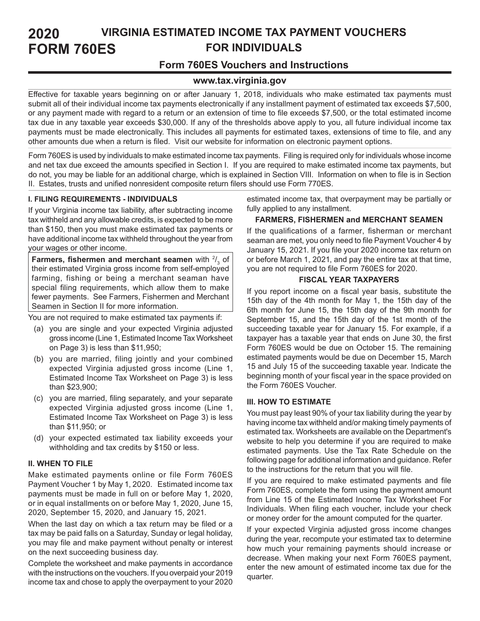#### **VIRGINIA ESTIMATED INCOME TAX PAYMENT VOUCHERS FOR INDIVIDUALS 2020 FORM 760ES**

# **Form 760ES Vouchers and Instructions**

# **www.tax.virginia.gov**

Effective for taxable years beginning on or after January 1, 2018, individuals who make estimated tax payments must submit all of their individual income tax payments electronically if any installment payment of estimated tax exceeds \$7,500, or any payment made with regard to a return or an extension of time to file exceeds \$7,500, or the total estimated income tax due in any taxable year exceeds \$30,000. If any of the thresholds above apply to you, all future individual income tax payments must be made electronically. This includes all payments for estimated taxes, extensions of time to file, and any other amounts due when a return is filed. Visit our website for information on electronic payment options.

Form 760ES is used by individuals to make estimated income tax payments. Filing is required only for individuals whose income and net tax due exceed the amounts specified in Section I. If you are required to make estimated income tax payments, but do not, you may be liable for an additional charge, which is explained in Section VIII. Information on when to file is in Section II. Estates, trusts and unified nonresident composite return filers should use Form 770ES.

# **I. FILING REQUIREMENTS - INDIVIDUALS**

If your Virginia income tax liability, after subtracting income tax withheld and any allowable credits, is expected to be more than \$150, then you must make estimated tax payments or have additional income tax withheld throughout the year from your wages or other income.

**Farmers, fishermen and merchant seamen** with  $\frac{2}{3}$  of their estimated Virginia gross income from self-employed farming, fishing or being a merchant seaman have special filing requirements, which allow them to make fewer payments. See Farmers, Fishermen and Merchant Seamen in Section II for more information.

You are not required to make estimated tax payments if:

- (a) you are single and your expected Virginia adjusted gross income (Line 1, Estimated Income Tax Worksheet on Page 3) is less than \$11,950;
- (b) you are married, filing jointly and your combined expected Virginia adjusted gross income (Line 1, Estimated Income Tax Worksheet on Page 3) is less than \$23,900;
- (c) you are married, filing separately, and your separate expected Virginia adjusted gross income (Line 1, Estimated Income Tax Worksheet on Page 3) is less than \$11,950; or
- (d) your expected estimated tax liability exceeds your withholding and tax credits by \$150 or less.

# **II. WHEN TO FILE**

Make estimated payments online or file Form 760ES Payment Voucher 1 by May 1, 2020. Estimated income tax payments must be made in full on or before May 1, 2020, or in equal installments on or before May 1, 2020, June 15, 2020, September 15, 2020, and January 15, 2021.

When the last day on which a tax return may be filed or a tax may be paid falls on a Saturday, Sunday or legal holiday, you may file and make payment without penalty or interest on the next succeeding business day.

Complete the worksheet and make payments in accordance with the instructions on the vouchers. If you overpaid your 2019 income tax and chose to apply the overpayment to your 2020 estimated income tax, that overpayment may be partially or fully applied to any installment.

# **FARMERS, FISHERMEN and MERCHANT SEAMEN**

If the qualifications of a farmer, fisherman or merchant seaman are met, you only need to file Payment Voucher 4 by January 15, 2021. If you file your 2020 income tax return on or before March 1, 2021, and pay the entire tax at that time, you are not required to file Form 760ES for 2020.

### **FISCAL YEAR TAXPAYERS**

If you report income on a fiscal year basis, substitute the 15th day of the 4th month for May 1, the 15th day of the 6th month for June 15, the 15th day of the 9th month for September 15, and the 15th day of the 1st month of the succeeding taxable year for January 15. For example, if a taxpayer has a taxable year that ends on June 30, the first Form 760ES would be due on October 15. The remaining estimated payments would be due on December 15, March 15 and July 15 of the succeeding taxable year. Indicate the beginning month of your fiscal year in the space provided on the Form 760ES Voucher.

# **III. HOW TO ESTIMATE**

You must pay least 90% of your tax liability during the year by having income tax withheld and/or making timely payments of estimated tax. Worksheets are available on the Department's website to help you determine if you are required to make estimated payments. Use the Tax Rate Schedule on the following page for additional information and guidance. Refer to the instructions for the return that you will file.

If you are required to make estimated payments and file Form 760ES, complete the form using the payment amount from Line 15 of the Estimated Income Tax Worksheet For Individuals. When filing each voucher, include your check or money order for the amount computed for the quarter.

If your expected Virginia adjusted gross income changes during the year, recompute your estimated tax to determine how much your remaining payments should increase or decrease. When making your next Form 760ES payment, enter the new amount of estimated income tax due for the quarter.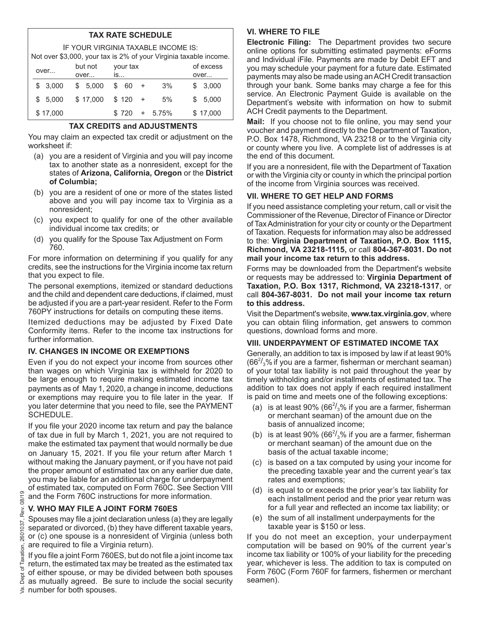# **TAX RATE SCHEDULE**

IF YOUR VIRGINIA TAXABLE INCOME IS: Not over \$3,000, your tax is 2% of your Virginia taxable income.

| TVOL OVER $\phi$ J,OOO, YOUR LAX IS Z 70 OR YOUR VIRGING LAXADIE INCORRE. |      |          |  |          |  |          |     |           |      |           |  |
|---------------------------------------------------------------------------|------|----------|--|----------|--|----------|-----|-----------|------|-----------|--|
|                                                                           | over |          |  | but not  |  | your tax |     |           |      | of excess |  |
|                                                                           |      |          |  | over     |  | is       |     |           | over |           |  |
|                                                                           |      | \$3.000  |  | \$5.000  |  | \$ 60    | $+$ | 3%        |      | \$3,000   |  |
|                                                                           |      | \$5.000  |  | \$17,000 |  | $$120 +$ |     | 5%        |      | \$5,000   |  |
|                                                                           |      | \$17,000 |  |          |  | \$720    |     | $+ 5.75%$ |      | \$17,000  |  |

# **TAX CREDITS and ADJUSTMENTS**

You may claim an expected tax credit or adjustment on the worksheet if:

- (a) you are a resident of Virginia and you will pay income tax to another state as a nonresident, except for the states of **Arizona, California, Oregon** or the **District of Columbia;**
- (b) you are a resident of one or more of the states listed above and you will pay income tax to Virginia as a nonresident;
- (c) you expect to qualify for one of the other available individual income tax credits; or
- (d) you qualify for the Spouse Tax Adjustment on Form 760.

For more information on determining if you qualify for any credits, see the instructions for the Virginia income tax return that you expect to file.

The personal exemptions, itemized or standard deductions and the child and dependent care deductions, if claimed, must be adjusted if you are a part-year resident. Refer to the Form 760PY instructions for details on computing these items.

Itemized deductions may be adjusted by Fixed Date Conformity items. Refer to the income tax instructions for further information.

# **IV. CHANGES IN INCOME OR EXEMPTIONS**

Even if you do not expect your income from sources other than wages on which Virginia tax is withheld for 2020 to be large enough to require making estimated income tax payments as of May 1, 2020, a change in income, deductions or exemptions may require you to file later in the year. If you later determine that you need to file, see the PAYMENT SCHEDULE.

If you file your 2020 income tax return and pay the balance of tax due in full by March 1, 2021, you are not required to make the estimated tax payment that would normally be due on January 15, 2021. If you file your return after March 1 without making the January payment, or if you have not paid the proper amount of estimated tax on any earlier due date, you may be liable for an additional charge for underpayment of estimated tax, computed on Form 760C. See Section VIII and the Form 760C instructions for more information.

# **V. WHO MAY FILE A JOINT FORM 760ES**

Spouses may file a joint declaration unless (a) they are legally separated or divorced, (b) they have different taxable years, or (c) one spouse is a nonresident of Virginia (unless both are required to file a Virginia return).

If you file a joint Form 760ES, but do not file a joint income tax return, the estimated tax may be treated as the estimated tax of either spouse, or may be divided between both spouses  $\frac{2}{6}$  or either spouse, or may be divided between both spouses  $\frac{2}{6}$  as mutually agreed. Be sure to include the social security number for both spouses.

# **VI. WHERE TO FILE**

**Electronic Filing:** The Department provides two secure online options for submitting estimated payments: eForms and Individual iFile. Payments are made by Debit EFT and you may schedule your payment for a future date. Estimated payments may also be made using an ACH Credit transaction through your bank. Some banks may charge a fee for this service. An Electronic Payment Guide is available on the Department's website with information on how to submit ACH Credit payments to the Department.

**Mail:** If you choose not to file online, you may send your voucher and payment directly to the Department of Taxation, P.O. Box 1478, Richmond, VA 23218 or to the Virginia city or county where you live. A complete list of addresses is at the end of this document.

If you are a nonresident, file with the Department of Taxation or with the Virginia city or county in which the principal portion of the income from Virginia sources was received.

# **VII. WHERE TO GET HELP AND FORMS**

If you need assistance completing your return, call or visit the Commissioner of the Revenue, Director of Finance or Director of Tax Administration for your city or county or the Department of Taxation. Requests for information may also be addressed to the: **Virginia Department of Taxation, P.O. Box 1115, Richmond, VA 23218-1115,** or call **804-367-8031. Do not mail your income tax return to this address.** 

Forms may be downloaded from the Department's website or requests may be addressed to: **Virginia Department of Taxation, P.O. Box 1317, Richmond, VA 23218-1317**, or call **804-367-8031. Do not mail your income tax return to this address.**

Visit the Department's website, **www.tax.virginia.gov**, where you can obtain filing information, get answers to common questions, download forms and more.

# **VIII. UNDERPAYMENT OF ESTIMATED INCOME TAX**

Generally, an addition to tax is imposed by law if at least 90% (66 $\frac{2}{3}$ % if you are a farmer, fisherman or merchant seaman) of your total tax liability is not paid throughout the year by timely withholding and/or installments of estimated tax. The addition to tax does not apply if each required installment is paid on time and meets one of the following exceptions:

- (a)  $\,$  is at least 90% (66 $^{2}/_{3}$ % if you are a farmer, fisherman or merchant seaman) of the amount due on the basis of annualized income;
- (b) is at least 90% (66 $2/3$ % if you are a farmer, fisherman or merchant seaman) of the amount due on the basis of the actual taxable income;
- (c) is based on a tax computed by using your income for the preceding taxable year and the current year's tax rates and exemptions;
- (d) is equal to or exceeds the prior year's tax liability for each installment period and the prior year return was for a full year and reflected an income tax liability; or
- (e) the sum of all installment underpayments for the taxable year is \$150 or less.

If you do not meet an exception, your underpayment computation will be based on 90% of the current year's income tax liability or 100% of your liability for the preceding year, whichever is less. The addition to tax is computed on Form 760C (Form 760F for farmers, fishermen or merchant seamen).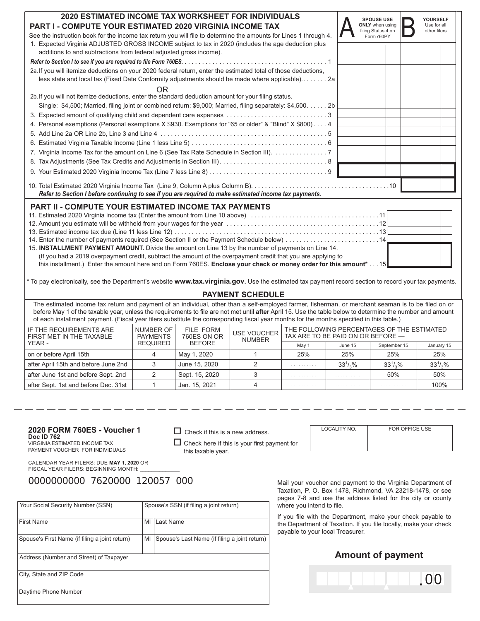| 2020 ESTIMATED INCOME TAX WORKSHEET FOR INDIVIDUALS<br>PART I - COMPUTE YOUR ESTIMATED 2020 VIRGINIA INCOME TAX                                                                                                   | <b>SPOUSE USE</b><br><b>ONLY</b> when using<br>filing Status 4 on | YOURSELF<br>Use for all<br>other filers |
|-------------------------------------------------------------------------------------------------------------------------------------------------------------------------------------------------------------------|-------------------------------------------------------------------|-----------------------------------------|
| See the instruction book for the income tax return you will file to determine the amounts for Lines 1 through 4.                                                                                                  | Form 760PY                                                        |                                         |
| 1. Expected Virginia ADJUSTED GROSS INCOME subject to tax in 2020 (includes the age deduction plus<br>additions to and subtractions from federal adjusted gross income).                                          |                                                                   |                                         |
|                                                                                                                                                                                                                   |                                                                   |                                         |
| 2a. If you will itemize deductions on your 2020 federal return, enter the estimated total of those deductions,<br>less state and local tax (Fixed Date Conformity adjustments should be made where applicable) 2a |                                                                   |                                         |
| OR                                                                                                                                                                                                                |                                                                   |                                         |
| 2b. If you will not itemize deductions, enter the standard deduction amount for your filing status.                                                                                                               |                                                                   |                                         |
| Single: \$4,500; Married, filing joint or combined return: \$9,000; Married, filing separately: \$4,500 2b                                                                                                        |                                                                   |                                         |
|                                                                                                                                                                                                                   |                                                                   |                                         |
| 4. Personal exemptions (Personal exemptions X \$930. Exemptions for "65 or older" & "Blind" X \$800) 4                                                                                                            |                                                                   |                                         |
|                                                                                                                                                                                                                   |                                                                   |                                         |
|                                                                                                                                                                                                                   |                                                                   |                                         |
| 7. Virginia Income Tax for the amount on Line 6 (See Tax Rate Schedule in Section III). 7                                                                                                                         |                                                                   |                                         |
|                                                                                                                                                                                                                   |                                                                   |                                         |
|                                                                                                                                                                                                                   |                                                                   |                                         |
| Refer to Section I before continuing to see if you are required to make estimated income tax payments.                                                                                                            |                                                                   |                                         |
| <b>PART II - COMPUTE YOUR ESTIMATED INCOME TAX PAYMENTS</b>                                                                                                                                                       |                                                                   |                                         |
| 11. Estimated 2020 Virginia income tax (Enter the amount from Line 10 above) 11                                                                                                                                   |                                                                   |                                         |
|                                                                                                                                                                                                                   |                                                                   |                                         |
|                                                                                                                                                                                                                   |                                                                   |                                         |
|                                                                                                                                                                                                                   |                                                                   |                                         |
| 15. INSTALLMENT PAYMENT AMOUNT. Divide the amount on Line 13 by the number of payments on Line 14.                                                                                                                |                                                                   |                                         |
| (If you had a 2019 overpayment credit, subtract the amount of the overpayment credit that you are applying to                                                                                                     |                                                                   |                                         |
| this installment.) Enter the amount here and on Form 760ES. Enclose your check or money order for this amount* 15                                                                                                 |                                                                   |                                         |
| * To pay electronically, see the Department's website www.tax.virginia.gov. Use the estimated tax payment record section to record your tax payments.                                                             |                                                                   |                                         |

### **PAYMENT SCHEDULE**

The estimated income tax return and payment of an individual, other than a self-employed farmer, fisherman, or merchant seaman is to be filed on or before May 1 of the taxable year, unless the requirements to file are not met until **after** April 15. Use the table below to determine the number and amount of each installment payment. (Fiscal year filers substitute the corresponding fiscal year months for the months specified in this table.)

| IF THE REQUIREMENTS ARE<br>FIRST MET IN THE TAXABLE | NUMBER OF<br><b>PAYMENTS</b> | FILE FORM<br>760ES ON OR | <b>USE VOUCHER</b><br><b>NUMBER</b> | THE FOLLOWING PERCENTAGES OF THE ESTIMATED<br>TAX ARE TO BE PAID ON OR BEFORE - |             |              |              |
|-----------------------------------------------------|------------------------------|--------------------------|-------------------------------------|---------------------------------------------------------------------------------|-------------|--------------|--------------|
| YEAR -                                              | <b>REQUIRED</b>              | <b>BEFORE</b>            |                                     | May 1                                                                           | June 15     | September 15 | January 15   |
| on or before April 15th                             |                              | May 1, 2020              |                                     | 25%                                                                             | 25%         | 25%          | 25%          |
| after April 15th and before June 2nd                |                              | June 15, 2020            |                                     | .                                                                               | $33^{1}/96$ | $33^{1}/2%$  | $33^{1/3}$ % |
| after June 1st and before Sept. 2nd                 |                              | Sept. 15, 2020           |                                     | .                                                                               | .           | 50%          | 50%          |
| after Sept. 1st and before Dec. 31st                |                              | Jan. 15, 2021            |                                     | .                                                                               | .           | .            | 100%         |

#### **2020 FORM 760ES - Voucher 1 Doc ID 762**

VIRGINIA ESTIMATED INCOME TAX PAYMENT VOUCHER FOR INDIVIDUALS

 $\Box$  Check here if this is your first payment for this taxable year.

 $\Box$  Check if this is a new address.

CALENDAR YEAR FILERS: DUE **MAY 1, 2020** OR FISCAL YEAR FILERS: BEGINNING MONTH:

0000000000 7620000 120057 000 Mail your voucher and payment to the Virginia Department of

| Your Social Security Number (SSN)              |    | Spouse's SSN (if filing a joint return)       |  |  |  |
|------------------------------------------------|----|-----------------------------------------------|--|--|--|
| <b>First Name</b>                              | MI | Last Name                                     |  |  |  |
| Spouse's First Name (if filing a joint return) | MI | Spouse's Last Name (if filing a joint return) |  |  |  |
| Address (Number and Street) of Taxpayer        |    |                                               |  |  |  |
| City, State and ZIP Code                       |    |                                               |  |  |  |
| Daytime Phone Number                           |    |                                               |  |  |  |

Taxation, P. O. Box 1478, Richmond, VA 23218-1478, or see pages 7-8 and use the address listed for the city or county where you intend to file.

If you file with the Department, make your check payable to the Department of Taxation. If you file locally, make your check payable to your local Treasurer.

# **Amount of payment**

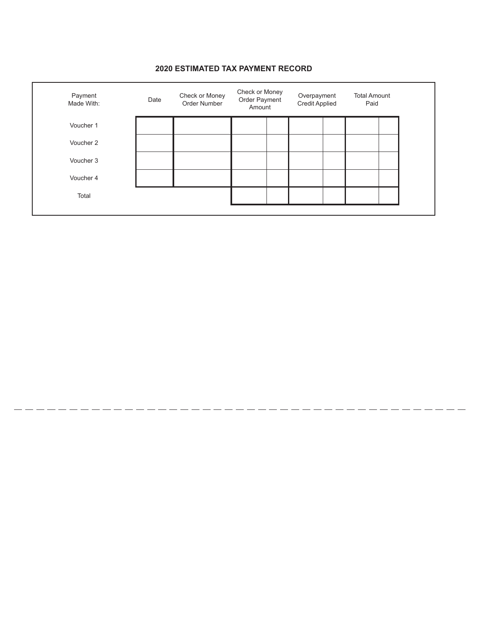## Payment Made With: Date Check or Money Order Number Check or Money Order Payment Amount Overpayment Credit Applied Total Amount Paid Voucher 1 Voucher 2 Voucher 3 Voucher 4 Total

# **2020 ESTIMATED TAX PAYMENT RECORD**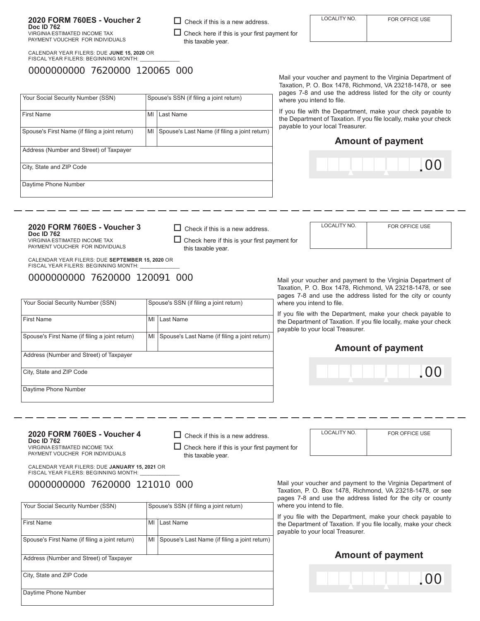**2020 FORM 760ES - Voucher 2**

CALENDAR YEAR FILERS: DUE **JUNE 15, 2020** OR FISCAL YEAR FILERS: BEGINNING MONTH:

# 0000000000 7620000 120065 000

Mail your voucher and payment to the Virginia Department of Taxation, P. O. Box 1478, Richmond, VA 23218-1478, or see pages 7-8 and use the address listed for the city or county where you intend to file.

If you file with the Department, make your check payable to the Department of Taxation. If you file locally, make your check payable to your local Treasurer.

# **Amount of payment**



LOCALITY NO. FOR OFFICE USE

**2020 FORM 760ES - Voucher 3 Doc ID 762**  VIRGINIA ESTIMATED INCOME TAX

PAYMENT VOUCHER FOR INDIVIDUALS

CALENDAR YEAR FILERS: DUE **SEPTEMBER 15, 2020** OR FISCAL YEAR FILERS: BEGINNING MONTH:

0000000000 7620000 120091 000

| Your Social Security Number (SSN)              |    | Spouse's SSN (if filing a joint return)       |
|------------------------------------------------|----|-----------------------------------------------|
| <b>First Name</b>                              | MI | Last Name                                     |
| Spouse's First Name (if filing a joint return) | MI | Spouse's Last Name (if filing a joint return) |
| Address (Number and Street) of Taxpayer        |    |                                               |
| City, State and ZIP Code                       |    |                                               |
| Daytime Phone Number                           |    |                                               |

Mail your voucher and payment to the Virginia Department of Taxation, P. O. Box 1478, Richmond, VA 23218-1478, or see pages 7-8 and use the address listed for the city or county where you intend to file.

If you file with the Department, make your check payable to the Department of Taxation. If you file locally, make your check payable to your local Treasurer.

# **Amount of payment**



**2020 FORM 760ES - Voucher 4 Doc ID 762** 

VIRGINIA ESTIMATED INCOME TAX PAYMENT VOUCHER FOR INDIVIDUALS  $\Box$  Check here if this is your first payment for this taxable year.

 $\Box$  Check if this is a new address.

 $\Box$  Check if this is a new address.

 $\Box$  Check if this is a new address.

this taxable year.

 $\Box$  Check here if this is your first payment for

this taxable year.

 $\Box$  Check here if this is your first payment for

LOCALITY NO. FOR OFFICE USE

CALENDAR YEAR FILERS: DUE **JANUARY 15, 2021** OR FISCAL YEAR FILERS: BEGINNING MONTH:

# 0000000000 7620000 121010 000

| Your Social Security Number (SSN)              |    | Spouse's SSN (if filing a joint return)       |  |  |  |
|------------------------------------------------|----|-----------------------------------------------|--|--|--|
| <b>First Name</b>                              | MI | Last Name                                     |  |  |  |
| Spouse's First Name (if filing a joint return) | MI | Spouse's Last Name (if filing a joint return) |  |  |  |
| Address (Number and Street) of Taxpayer        |    |                                               |  |  |  |
| City, State and ZIP Code                       |    |                                               |  |  |  |
| Daytime Phone Number                           |    |                                               |  |  |  |

Mail your voucher and payment to the Virginia Department of Taxation, P. O. Box 1478, Richmond, VA 23218-1478, or see pages 7-8 and use the address listed for the city or county where you intend to file.

If you file with the Department, make your check payable to the Department of Taxation. If you file locally, make your check payable to your local Treasurer.

# **Amount of payment**



| <b>First Name</b>                              | MI | Last Name                                     |
|------------------------------------------------|----|-----------------------------------------------|
|                                                |    |                                               |
| Spouse's First Name (if filing a joint return) | MI | Spouse's Last Name (if filing a joint return) |
|                                                |    |                                               |
| Address (Number and Street) of Taxpayer        |    |                                               |
|                                                |    |                                               |
| City, State and ZIP Code                       |    |                                               |
|                                                |    |                                               |
| Daytime Phone Number                           |    |                                               |
|                                                |    |                                               |

**Doc ID 762**  VIRGINIA ESTIMATED INCOME TAX PAYMENT VOUCHER FOR INDIVIDUALS

Your Social Security Number (SSN) Spouse's SSN (if filing a joint return)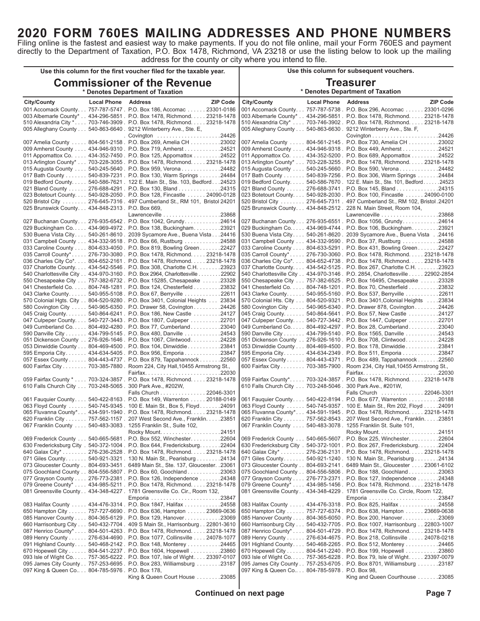# **2020 FORM 760ES MAILING ADDRESSES AND PHONE NUMBERS**

Filing online is the fastest and easiest way to make payments. If you do not file online, mail your Form 760ES and payment directly to the Department of Taxation, P.O. Box 1478, Richmond, VA 23218 or use the listing below to look up the mailing address for the county or city where you intend to file.

|                                                                            | Use this column for the first voucher filed for the taxable year.                                                                                    | Use this column for subsequent vouchers.                                    |                                                                                                                                                       |  |  |
|----------------------------------------------------------------------------|------------------------------------------------------------------------------------------------------------------------------------------------------|-----------------------------------------------------------------------------|-------------------------------------------------------------------------------------------------------------------------------------------------------|--|--|
|                                                                            | <b>Commissioner of the Revenue</b><br>* Denotes Department of Taxation                                                                               | <b>Treasurer</b><br>* Denotes Department of Taxation                        |                                                                                                                                                       |  |  |
| <b>City/County</b><br><b>Local Phone Address</b>                           | <b>ZIP Code</b>                                                                                                                                      | <b>City/County</b><br><b>Local Phone Address</b>                            | <b>ZIP Code</b>                                                                                                                                       |  |  |
|                                                                            | 001 Accomack County. 757-787-5747 . P.O. Box 186, Accomac 23301-0186                                                                                 |                                                                             | 001 Accomack County. 757-787-5738 . P.O. Box 296, Accomac 23301-0296                                                                                  |  |  |
|                                                                            | 003 Albemarle County* 434-296-5851 . P.O. Box 1478, Richmond. 23218-1478                                                                             |                                                                             | 003 Albemarle County* 434-296-5851 . P.O. Box 1478, Richmond. 23218-1478                                                                              |  |  |
|                                                                            | 510 Alexandria City * 703-746-3909 . P.O. Box 1478, Richmond. 23218-1478                                                                             |                                                                             | 510 Alexandria City* 703-746-3902 . P.O. Box 1478, Richmond. 23218-1478                                                                               |  |  |
| 005 Alleghany County 540-863-6640 . 9212 Winterberry Ave., Ste. E,         |                                                                                                                                                      | 005 Alleghany County 540-863-6630 . 9212 Winterberry Ave., Ste. F,          |                                                                                                                                                       |  |  |
|                                                                            | . Covington 24426<br>007 Amelia County  804-561-2158 . P.O. Box 269, Amelia CH 23002                                                                 |                                                                             | 007 Amelia County 804-561-2145 . P.O. Box 730, Amelia CH 23002                                                                                        |  |  |
|                                                                            | 009 Amherst County  434-946-9310 . P.O. Box 719, Amherst 24521                                                                                       |                                                                             | 009 Amherst County 434-946-9318 . P.O. Box 449, Amherst 24521                                                                                         |  |  |
|                                                                            | 011 Appomattox Co. 434-352-7450 . P.O. Box 125, Appomattox 24522                                                                                     |                                                                             | 011 Appomattox Co. 434-352-5200 . P.O. Box 689, Appomattox 24522                                                                                      |  |  |
|                                                                            | 013 Arlington County* 703-228-3055 . P.O. Box 1478, Richmond. 23218-1478                                                                             |                                                                             | 013 Arlington County* 703-228-3255 . P.O. Box 1478, Richmond. 23218-1478                                                                              |  |  |
|                                                                            | 015 Augusta County  540-245-5640 . P.O. Box 959, Verona 24482                                                                                        |                                                                             | 015 Augusta County 540-245-5660 . P.O. Box 590, Verona 24482                                                                                          |  |  |
|                                                                            | 017 Bath County 540-839-7231 . P.O. Box 130, Warm Springs 24484                                                                                      |                                                                             | 017 Bath County 540-839-7256 . P.O. Box 306, Warm Springs 24484                                                                                       |  |  |
|                                                                            | 019 Bedford County. 540-586-7621 . 122 E. Main St., Ste. 103, Bedford. 24523                                                                         |                                                                             | 019 Bedford County. 540-586-7670 . 122 E. Main St., Ste. 101, Bedford. 24523                                                                          |  |  |
|                                                                            | 021 Bland County 276-688-4291 . P.O. Box 130, Bland 24315                                                                                            |                                                                             | 021 Bland County 276-688-3741 . P.O. Box 145, Bland 24315                                                                                             |  |  |
|                                                                            | 023 Botetourt County. 540-928-2050 . P.O. Box 128, Fincastle 24090-0128<br>520 Bristol City 276-645-7316 . 497 Cumberland St., RM 101, Bristol 24201 |                                                                             | 023 Botetourt County 540-928-2030. P.O. Box 100, Fincastle  24090-0100<br>520 Bristol City 276-645-7311 . 497 Cumberland St., RM 102, Bristol . 24201 |  |  |
| 025 Brunswick County. 434-848-2313 . P.O. Box 669,                         |                                                                                                                                                      | 025 Brunswick County. 434-848-2512 . 228 N. Main Street, Room 104,          |                                                                                                                                                       |  |  |
|                                                                            | 027 Buchanan County 276-935-6542. P.O. Box 1042, Grundy24614                                                                                         |                                                                             | 027 Buchanan County 276-935-6551. P.O. Box 1056, Grundy24614                                                                                          |  |  |
|                                                                            | 029 Buckingham Co 434-969-4972. P.O. Box 138, Buckingham23921                                                                                        |                                                                             | 029 Buckingham Co 434-969-4744 . P.O. Box 106, Buckingham23921                                                                                        |  |  |
|                                                                            | 530 Buena Vista City 540-261-8610. 2039 Sycamore Ave., Buena Vista24416                                                                              |                                                                             | 530 Buena Vista City 540-261-8620. 2039 Sycamore Ave., Buena Vista24416                                                                               |  |  |
|                                                                            | 031 Campbell County 434-332-9518 . P.O. Box 66, Rustburg 24588                                                                                       |                                                                             | 031 Campbell County 434-332-9590 . P.O. Box 37, Rustburg 24588                                                                                        |  |  |
|                                                                            | 033 Caroline County 804-633-4050 . P.O. Box 819, Bowling Green 22427<br>035 Carroll County* 276-730-3080. P.O. Box 1478, Richmond 23218-1478         |                                                                             | 033 Caroline County 804-633-5291 . P.O. Box 431, Bowling Green 22427<br>035 Carroll County* 276-730-3060. P.O. Box 1478, Richmond 23218-1478          |  |  |
|                                                                            | 036 Charles City Co*. 804-652-2161 . P.O. Box 1478, Richmond. 23218-1478                                                                             |                                                                             | 036 Charles City Co*. 804-652-4738 . P.O. Box 1478, Richmond. 23218-1478                                                                              |  |  |
|                                                                            | 037 Charlotte County. 434-542-5546 . P.O. Box 308, Charlotte C.H. 23923                                                                              |                                                                             | 037 Charlotte County. 434-542-5125 . P.O. Box 267, Charlotte C.H. 23923                                                                               |  |  |
|                                                                            | 540 Charlottesville City 434-970-3160 . P.O. Box 2964, Charlottesville 22902                                                                         |                                                                             | 540 Charlottesville City 434-970-3146 . P.O. 2854, Charlottesville 22902-2854                                                                         |  |  |
|                                                                            | 550 Chesapeake City 757-382-6732 . P.O. Box 15285, Chesapeake 23328                                                                                  |                                                                             | 550 Chesapeake City 757-382-6525 . P.O. Box 16495, Chesapeake 23328                                                                                   |  |  |
|                                                                            | 041 Chesterfield Co. 804-748-1281 . P.O. Box 124, Chesterfield 23832                                                                                 |                                                                             | 041 Chesterfield Co. 804-748-1201 . P.O. Box 70, Chesterfield 23832                                                                                   |  |  |
|                                                                            | 043 Clarke County 540-955-5108. P.O. Box 67, Berryville 22611                                                                                        |                                                                             | 043 Clarke County. 540-955-5160 . P.O. Box 537, Berryville 22611                                                                                      |  |  |
|                                                                            | 570 Colonial Hgts. City 804-520-9280 . P.O. Box 3401, Colonial Heights 23834                                                                         |                                                                             | 570 Colonial Hts. City 804-520-9321 . P.O. Box 3401, Colonial Heights 23834                                                                           |  |  |
|                                                                            | 580 Covington City 540-965-6350 . P.O. Drawer 58, Covington 24426<br>045 Craig County. 540-864-6241 . P.O. Box 186, New Castle 24127                 |                                                                             | 580 Covington City 540-965-6340 . P.O. Drawer 878, Covington 24426<br>045 Craig County. 540-864-5641 . P.O. Box 57, New Castle 24127                  |  |  |
|                                                                            | 047 Culpeper County. 540-727-3443 . P.O. Box 1807, Culpeper 22701                                                                                    |                                                                             | 047 Culpeper County. 540-727-3442 . P.O. Box 1447, Culpeper 22701                                                                                     |  |  |
|                                                                            | 049 Cumberland Co 804-492-4280. P.O. Box 77, Cumberland23040                                                                                         |                                                                             | 049 Cumberland Co 804-492-4297. P.O. Box 28, Cumberland23040                                                                                          |  |  |
|                                                                            | 590 Danville City 434-799-5145 . P.O. Box 480, Danville 24543                                                                                        |                                                                             | 590 Danville City 434-799-5140 . P.O. Box 1565, Danville 24543                                                                                        |  |  |
|                                                                            | 051 Dickenson County 276-926-1646 . P.O. Box 1067, Clintwood. 24228                                                                                  |                                                                             | 051 Dickenson County 276-926-1610 . P.O. Box 708, Clintwood24228                                                                                      |  |  |
|                                                                            | 053 Dinwiddie County 804-469-4500 . P.O. Box 104, Dinwiddie 23841                                                                                    |                                                                             | 053 Dinwiddie County 804-469-4500 . P.O. Box 178, Dinwiddie 23841                                                                                     |  |  |
|                                                                            | 595 Emporia City. 434-634-5405 . P.O. Box 956, Emporia 23847                                                                                         |                                                                             | 595 Emporia City. 434-634-2349 . P.O. Box 511, Emporia 23847                                                                                          |  |  |
|                                                                            | 057 Essex County 804-443-4737 . P.O. Box 879, Tappahannock 22560<br>600 Fairfax City 703-385-7880 . Room 224, City Hall, 10455 Armstrong St.,        |                                                                             | 057 Essex County 804-443-4371 . P.O. Box 489, Tappahannock 22560<br>600 Fairfax City 703-385-7900 . Room 234, City Hall, 10455 Armstrong St.,         |  |  |
|                                                                            | Fairfax22030                                                                                                                                         |                                                                             | Fairfax22030                                                                                                                                          |  |  |
|                                                                            | 059 Fairfax County * 703-324-3857 . P.O. Box 1478, Richmond. 23218-1478                                                                              |                                                                             | 059 Fairfax County*. 703-324-3857 . P.O. Box 1478, Richmond. 23218-1478                                                                               |  |  |
| 610 Falls Church City 703-248-5065 . 300 Park Ave., #202W,                 |                                                                                                                                                      | 610 Falls Church City 703-248-5046 . 300 Park Ave., #201W,                  |                                                                                                                                                       |  |  |
|                                                                            | Falls Church 22046-3301                                                                                                                              |                                                                             | Falls Church 22046-3301                                                                                                                               |  |  |
|                                                                            | 061 Fauguier County 540-422-8163. P.O. Box 149, Warrenton  20188-0149                                                                                |                                                                             | 061 Fauquier County 540-422-8194. P.O. Box 677, Warrenton 20188                                                                                       |  |  |
|                                                                            | 063 Floyd County  540-745-9345. 100 E. Main St., Box 5, Floyd24091<br>065 Fluvanna County* 434-591-1940. P.O. Box 1478, Richmond 23218-1478          |                                                                             | 063 Floyd County  540-745-9357. 100 E. Main St., Rm 202, Floyd 24091<br>065 Fluvanna County* 434-591-1945. P.O. Box 1478, Richmond 23218-1478         |  |  |
|                                                                            | 620 Franklin City 757-562-1157 . 207 West Second Ave., Franklin. 23851                                                                               |                                                                             | 620 Franklin City 757-562-8543 . 207 West Second Ave., Franklin. 23851                                                                                |  |  |
| 067 Franklin County  540-483-3083. 1255 Franklin St., Suite 102,           |                                                                                                                                                      | 067 Franklin County  540-483-3078. 1255 Franklin St. Suite 101,             |                                                                                                                                                       |  |  |
|                                                                            |                                                                                                                                                      |                                                                             |                                                                                                                                                       |  |  |
|                                                                            | 069 Frederick County  540-665-5681. P.O. Box 552, Winchester22604                                                                                    |                                                                             | 069 Frederick County  540-665-5607 . P.O. Box 225, Winchester 22604                                                                                   |  |  |
|                                                                            | 630 Fredericksburg City . 540-372-1004 . P.O. Box 644, Fredericksburg22404                                                                           |                                                                             | 630 Fredericksburg City . 540-372-1001 . P.O. Box 267, Fredericksburg22404                                                                            |  |  |
|                                                                            | 640 Galax City* 276-236-2528 . P.O. Box 1478, Richmond. 23218-1478<br>071 Giles County 540-921-3321. 130 N. Main St., Pearisburg24134                |                                                                             | 640 Galax City* 276-236-2131 . P.O. Box 1478, Richmond. 23218-1478<br>071 Giles County 540-921-1240. 130 N. Main St., Pearisburg24134                 |  |  |
|                                                                            | 073 Gloucester County 804-693-3451 . 6489 Main St., Ste. 137, Gloucester. . 23061                                                                    |                                                                             | 073 Gloucester County 804-693-2141 . 6489 Main St., Gloucester 23061-6102                                                                             |  |  |
|                                                                            | 075 Goochland County 804-556-5807 . P.O. Box 60, Goochland 23063                                                                                     |                                                                             | 075 Goochland County 804-556-5806 . P.O. Box 188, Goochland 23063                                                                                     |  |  |
|                                                                            | 077 Grayson County 276-773-2381 . P.O. Box 126, Independence 24348                                                                                   |                                                                             | 077 Grayson County 276-773-2371 . P.O. Box 127, Independence 24348                                                                                    |  |  |
|                                                                            | 079 Greene County* 434-985-5211 . P.O. Box 1478, Richmond. 23218-1478                                                                                |                                                                             | 079 Greene County* 434-985-1456 . P.O. Box 1478, Richmond. 23218-1478                                                                                 |  |  |
| 081 Greensville County 434-348-4227 . 1781 Greensville Co. Cir., Room 132, |                                                                                                                                                      | 081 Greensville County 434-348-4229. 1781 Greensville Co. Circle, Room 122, |                                                                                                                                                       |  |  |
|                                                                            |                                                                                                                                                      |                                                                             |                                                                                                                                                       |  |  |
|                                                                            | 083 Halifax County 434-476-3314 . P.O. Box 1847, Halifax 24558                                                                                       |                                                                             | 083 Halifax County 434-476-3318 . P.O. Box 825, Halifax 24558                                                                                         |  |  |
|                                                                            | 650 Hampton City 757-727-6690 . P.O. Box 636, Hampton 23669-0636<br>085 Hanover County 804-365-6129 . P.O. Box 129, Hanover 23069                    |                                                                             | 650 Hampton City 757-727-6374 . P.O. Box 638, Hampton 23669-0638<br>085 Hanover County 804-365-6050 . P.O. Box 200, Hanover 23069                     |  |  |
|                                                                            | 660 Harrisonburg City 540-432-7704 . 409 S Main St., Harrisonburg 22801-3610                                                                         |                                                                             | 660 Harrisonburg City 540-432-7705 . P.O. Box 1007, Harrisonburg 22803-1007                                                                           |  |  |
|                                                                            | 087 Henrico County* 804-501-4263 . P.O. Box 1478, Richmond. 23218-1478                                                                               |                                                                             | 087 Henrico County* 804-501-4729 . P.O. Box 1478, Richmond. 23218-1478                                                                                |  |  |
|                                                                            | 089 Henry County 276-634-4690 . P.O. Box 1077, Collinsville 24078-1077                                                                               |                                                                             | 089 Henry County 276-634-4675 . P.O. Box 218, Collinsville 24078-0218                                                                                 |  |  |
|                                                                            | 091 Highland County 540-468-2142. P.O. Box 148, Monterey 24465                                                                                       |                                                                             | 091 Highland County 540-468-2265. P.O. Box 512, Monterey 24465                                                                                        |  |  |
|                                                                            | 670 Hopewell City 804-541-2237 . P.O. Box 1604, Hopewell 23860                                                                                       |                                                                             | 670 Hopewell City 804-541-2240 . P.O. Box 199, Hopewell 23860                                                                                         |  |  |
|                                                                            | 093 Isle of Wight Co. 757-365-6222 . P.O. Box 107, Isle of Wight. 23397-0107                                                                         |                                                                             | 093 Isle of Wight Co. 757-365-6228 . P.O. Box 79, Isle of Wight. 23397-0079                                                                           |  |  |
| 097 King & Queen Co 804-785-5976. P.O. Box 178,                            | 095 James City County 757-253-6695 . P.O. Box 283, Williamsburg 23187                                                                                | 097 King & Queen Co 804-785-5978. P.O. Box 98,                              | 095 James City County 757-253-6705 . P.O. Box 8701, Williamsburg 23187                                                                                |  |  |
|                                                                            | King & Queen Court House 23085                                                                                                                       |                                                                             | King and Queen Courthouse 23085                                                                                                                       |  |  |